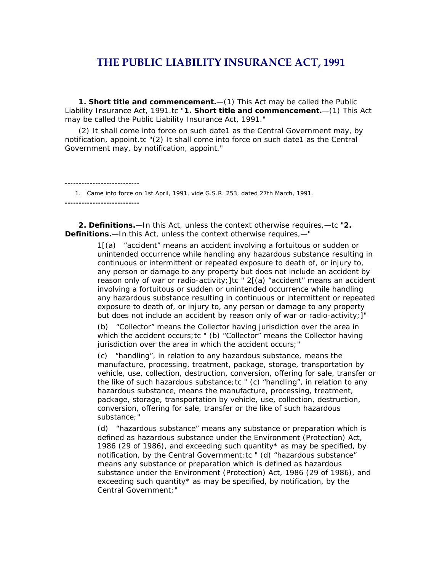# **THE PUBLIC LIABILITY INSURANCE ACT, 1991**

**1. Short title and commencement.**—(1) This Act may be called the Public Liability Insurance Act, 1991.tc "**1. Short title and commencement.**—(1) This Act may be called the Public Liability Insurance Act, 1991."

(2) It shall come into force on such date1 as the Central Government may, by notification, appoint.tc "(2) It shall come into force on such date1 as the Central Government may, by notification, appoint."

 1. Came into force on 1st April, 1991, *vide* G.S.R. 253, dated 27th March, 1991. **---------------------------**

**---------------------------**

**2. Definitions.**—In this Act, unless the context otherwise requires,—tc "**2. Definitions.**—In this Act, unless the context otherwise requires,—"

> 1[(a) "accident" means an accident involving a fortuitous or sudden or unintended occurrence while handling any hazardous substance resulting in continuous or intermittent or repeated exposure to death of, or injury to, any person or damage to any property but does not include an accident by reason only of war or radio-activity; [tc " 2[(a) "accident" means an accident involving a fortuitous or sudden or unintended occurrence while handling any hazardous substance resulting in continuous or intermittent or repeated exposure to death of, or injury to, any person or damage to any property but does not include an accident by reason only of war or radio-activity;]"

(b) "Collector" means the Collector having jurisdiction over the area in which the accident occurs; tc " (b) "Collector" means the Collector having jurisdiction over the area in which the accident occurs;"

(c) "handling", in relation to any hazardous substance, means the manufacture, processing, treatment, package, storage, transportation by vehicle, use, collection, destruction, conversion, offering for sale, transfer or the like of such hazardous substance;tc " (c) "handling", in relation to any hazardous substance, means the manufacture, processing, treatment, package, storage, transportation by vehicle, use, collection, destruction, conversion, offering for sale, transfer or the like of such hazardous substance;"

(d) "hazardous substance" means any substance or preparation which is defined as hazardous substance under the Environment (Protection) Act, 1986 (29 of 1986), and exceeding such quantity\* as may be specified, by notification, by the Central Government;tc " (d) "hazardous substance" means any substance or preparation which is defined as hazardous substance under the Environment (Protection) Act, 1986 (29 of 1986), and exceeding such quantity\* as may be specified, by notification, by the Central Government;"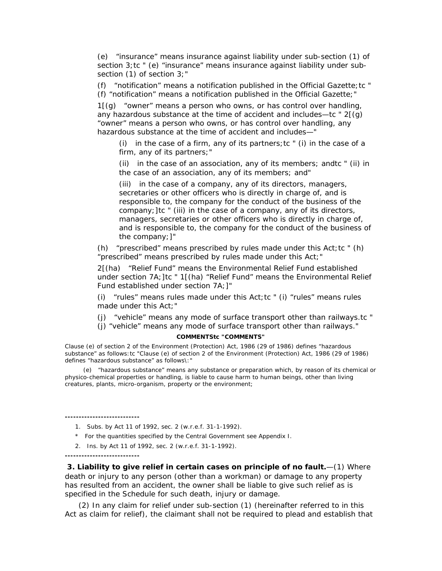(e) "insurance" means insurance against liability under sub-section (1) of section 3;tc " (e) "insurance" means insurance against liability under subsection (1) of section 3;"

(f) "notification" means a notification published in the Official Gazette;tc " (f) "notification" means a notification published in the Official Gazette;"

 $1[(g)$  "owner" means a person who owns, or has control over handling, any hazardous substance at the time of accident and includes—tc " 2[(g) "owner" means a person who owns, or has control over handling, any hazardous substance at the time of accident and includes—"

(i) in the case of a firm, any of its partners; tc  $\dot{ }$  (i) in the case of a firm, any of its partners;"

(ii) in the case of an association, any of its members; andtc " (ii) in the case of an association, any of its members; and"

(iii) in the case of a company, any of its directors, managers, secretaries or other officers who is directly in charge of, and is responsible to, the company for the conduct of the business of the company;]tc " (iii) in the case of a company, any of its directors, managers, secretaries or other officers who is directly in charge of, and is responsible to, the company for the conduct of the business of the company;]"

(h) "prescribed" means prescribed by rules made under this  $Act;tc$  "(h) "prescribed" means prescribed by rules made under this Act;"

2[(ha) "Relief Fund" means the Environmental Relief Fund established under section 7A;]tc " 1[(ha) "Relief Fund" means the Environmental Relief Fund established under section 7A;]"

(i)  $\pi$  "rules" means rules made under this Act; tc  $\pi$  (i) "rules" means rules made under this Act;"

(j) "vehicle" means any mode of surface transport other than railways.tc "

(j) "vehicle" means any mode of surface transport other than railways."

## **COMMENTStc "COMMENTS"**

Clause (e) of section 2 of the Environment (Protection) Act, 1986 (29 of 1986) defines "hazardous substance" as follows:tc "Clause (e) of section 2 of the Environment (Protection) Act, 1986 (29 of 1986) defines "hazardous substance" as follows\:"

 (e) "hazardous substance" means any substance or preparation which, by reason of its chemical or physico-chemical properties or handling, is liable to cause harm to human beings, other than living creatures, plants, micro-organism, property or the environment;

**---------------------------**

1. Subs. by Act 11 of 1992, sec. 2 (w.r.e.f. 31-1-1992).

- \* For the quantities specified by the Central Government *see* Appendix I.
- 2. Ins. by Act 11 of 1992, sec. 2 (w.r.e.f. 31-1-1992).

**---------------------------**

**3. Liability to give relief in certain cases on principle of no fault.**—(1) Where death or injury to any person (other than a workman) or damage to any property has resulted from an accident, the owner shall be liable to give such relief as is specified in the Schedule for such death, injury or damage.

(2) In any claim for relief under sub-section (1) (hereinafter referred to in this Act as claim for relief), the claimant shall not be required to plead and establish that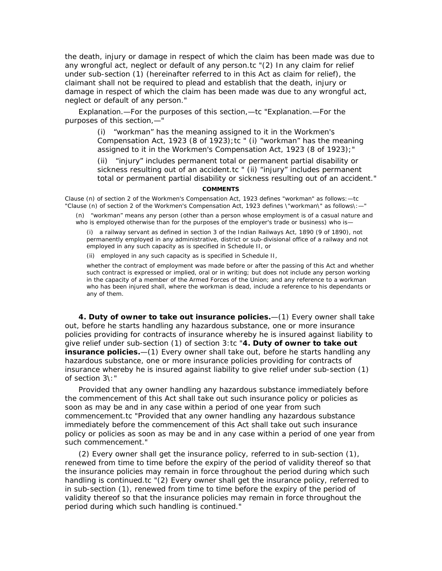the death, injury or damage in respect of which the claim has been made was due to any wrongful act, neglect or default of any person.tc "(2) In any claim for relief under sub-section (1) (hereinafter referred to in this Act as claim for relief), the claimant shall not be required to plead and establish that the death, injury or damage in respect of which the claim has been made was due to any wrongful act, neglect or default of any person."

*Explanation*.—For the purposes of this section,—tc "*Explanation*.—For the purposes of this section,—"

> (i) "workman" has the meaning assigned to it in the Workmen's Compensation Act, 1923 (8 of 1923); tc " (i) "workman" has the meaning assigned to it in the Workmen's Compensation Act, 1923 (8 of 1923);"

(ii) "injury" includes permanent total or permanent partial disability or sickness resulting out of an accident.tc " (ii) "injury" includes permanent total or permanent partial disability or sickness resulting out of an accident."

## **COMMENTS**

Clause (n) of section 2 of the Workmen's Compensation Act, 1923 defines "workman" as follows:—tc "Clause (n) of section 2 of the Workmen's Compensation Act, 1923 defines \"workman\" as follows\:—"

(n) "workman" means any person (other than a person whose employment is of a casual nature and who is employed otherwise than for the purposes of the employer's trade or business) who is-

(i) a railway servant as defined in section 3 of the Indian Railways Act, 1890 (9 of 1890), not permanently employed in any administrative, district or sub-divisional office of a railway and not employed in any such capacity as is specified in Schedule II, or

(ii) employed in any such capacity as is specified in Schedule II,

whether the contract of employment was made before or after the passing of this Act and whether such contract is expressed or implied, oral or in writing; but does not include any person working in the capacity of a member of the Armed Forces of the Union; and any reference to a workman who has been injured shall, where the workman is dead, include a reference to his dependants or any of them.

**4. Duty of owner to take out insurance policies.**—(1) Every owner shall take out, before he starts handling any hazardous substance, one or more insurance policies providing for contracts of insurance whereby he is insured against liability to give relief under sub-section (1) of section 3:tc "**4. Duty of owner to take out insurance policies.**—(1) Every owner shall take out, before he starts handling any hazardous substance, one or more insurance policies providing for contracts of insurance whereby he is insured against liability to give relief under sub-section (1) of section 3\:"

Provided that any owner handling any hazardous substance immediately before the commencement of this Act shall take out such insurance policy or policies as soon as may be and in any case within a period of one year from such commencement.tc "Provided that any owner handling any hazardous substance immediately before the commencement of this Act shall take out such insurance policy or policies as soon as may be and in any case within a period of one year from such commencement."

(2) Every owner shall get the insurance policy, referred to in sub-section (1), renewed from time to time before the expiry of the period of validity thereof so that the insurance policies may remain in force throughout the period during which such handling is continued.tc "(2) Every owner shall get the insurance policy, referred to in sub-section (1), renewed from time to time before the expiry of the period of validity thereof so that the insurance policies may remain in force throughout the period during which such handling is continued."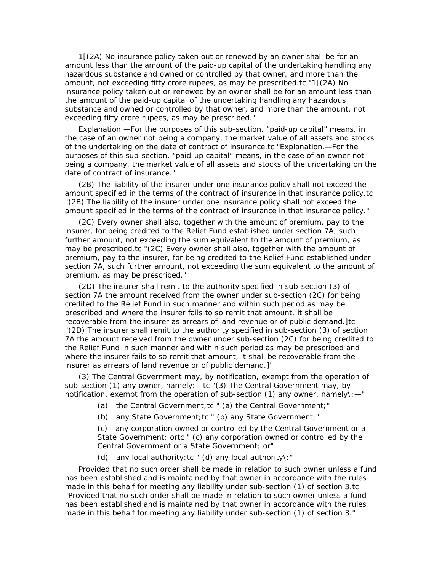1[(2A) No insurance policy taken out or renewed by an owner shall be for an amount less than the amount of the paid-up capital of the undertaking handling any hazardous substance and owned or controlled by that owner, and more than the amount, not exceeding fifty crore rupees, as may be prescribed.tc "1[(2A) No insurance policy taken out or renewed by an owner shall be for an amount less than the amount of the paid-up capital of the undertaking handling any hazardous substance and owned or controlled by that owner, and more than the amount, not exceeding fifty crore rupees, as may be prescribed."

*Explanation.—*For the purposes of this sub-section, "paid-up capital" means, in the case of an owner not being a company, the market value of all assets and stocks of the undertaking on the date of contract of insurance.tc "*Explanation.—*For the purposes of this sub-section, "paid-up capital" means, in the case of an owner not being a company, the market value of all assets and stocks of the undertaking on the date of contract of insurance."

(2B) The liability of the insurer under one insurance policy shall not exceed the amount specified in the terms of the contract of insurance in that insurance policy.tc "(2B) The liability of the insurer under one insurance policy shall not exceed the amount specified in the terms of the contract of insurance in that insurance policy."

(2C) Every owner shall also, together with the amount of premium, pay to the insurer, for being credited to the Relief Fund established under section 7A, such further amount, not exceeding the sum equivalent to the amount of premium, as may be prescribed.tc "(2C) Every owner shall also, together with the amount of premium, pay to the insurer, for being credited to the Relief Fund established under section 7A, such further amount, not exceeding the sum equivalent to the amount of premium, as may be prescribed."

(2D) The insurer shall remit to the authority specified in sub-section (3) of section 7A the amount received from the owner under sub-section (2C) for being credited to the Relief Fund in such manner and within such period as may be prescribed and where the insurer fails to so remit that amount, it shall be recoverable from the insurer as arrears of land revenue or of public demand.]tc "(2D) The insurer shall remit to the authority specified in sub-section (3) of section 7A the amount received from the owner under sub-section (2C) for being credited to the Relief Fund in such manner and within such period as may be prescribed and where the insurer fails to so remit that amount, it shall be recoverable from the insurer as arrears of land revenue or of public demand.]"

(3) The Central Government may, by notification, exempt from the operation of sub-section (1) any owner, namely:—tc "(3) The Central Government may, by notification, exempt from the operation of sub-section (1) any owner, namely\: $-$ "

- (a) the Central Government; tc " (a) the Central Government; "
- (b) any State Government;tc " (b) any State Government;"

(c) any corporation owned or controlled by the Central Government or a State Government; ortc " (c) any corporation owned or controlled by the Central Government or a State Government; or"

(d) any local authority:tc " (d) any local authority\:"

Provided that no such order shall be made in relation to such owner unless a fund has been established and is maintained by that owner in accordance with the rules made in this behalf for meeting any liability under sub-section (1) of section 3.tc "Provided that no such order shall be made in relation to such owner unless a fund has been established and is maintained by that owner in accordance with the rules made in this behalf for meeting any liability under sub-section (1) of section 3."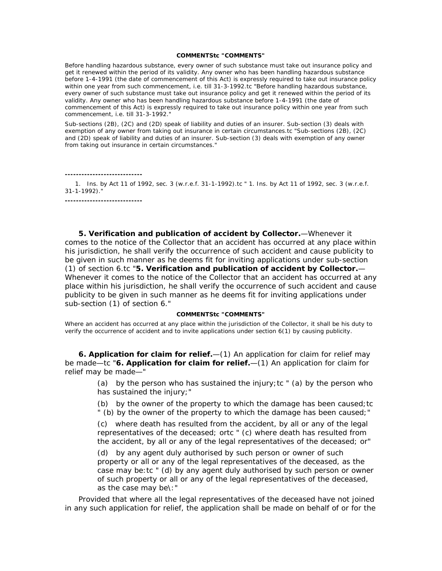#### **COMMENTStc "COMMENTS"**

Before handling hazardous substance, every owner of such substance must take out insurance policy and get it renewed within the period of its validity. Any owner who has been handling hazardous substance before 1-4-1991 (the date of commencement of this Act) is expressly required to take out insurance policy within one year from such commencement, *i.e.* till 31-3-1992.tc "Before handling hazardous substance, every owner of such substance must take out insurance policy and get it renewed within the period of its validity. Any owner who has been handling hazardous substance before 1-4-1991 (the date of commencement of this Act) is expressly required to take out insurance policy within one year from such commencement, *i.e.* till 31-3-1992."

Sub-sections (2B), (2C) and (2D) speak of liability and duties of an insurer. Sub-section (3) deals with exemption of any owner from taking out insurance in certain circumstances.tc "Sub-sections (2B), (2C) and (2D) speak of liability and duties of an insurer. Sub-section (3) deals with exemption of any owner from taking out insurance in certain circumstances."

**----------------------------**

 1. Ins. by Act 11 of 1992, sec. 3 (w.r.e.f. 31-1-1992).tc " 1. Ins. by Act 11 of 1992, sec. 3 (w.r.e.f. 31-1-1992)."

**----------------------------**

**5. Verification and publication of accident by Collector.**—Whenever it comes to the notice of the Collector that an accident has occurred at any place within his jurisdiction, he shall verify the occurrence of such accident and cause publicity to be given in such manner as he deems fit for inviting applications under sub-section (1) of section 6.tc "**5. Verification and publication of accident by Collector.**— Whenever it comes to the notice of the Collector that an accident has occurred at any place within his jurisdiction, he shall verify the occurrence of such accident and cause publicity to be given in such manner as he deems fit for inviting applications under sub-section (1) of section 6."

#### **COMMENTStc "COMMENTS"**

Where an accident has occurred at any place within the jurisdiction of the Collector, it shall be his duty to verify the occurrence of accident and to invite applications under section 6(1) by causing publicity.

**6. Application for claim for relief.**—(1) An application for claim for relief may be made—tc "**6. Application for claim for relief.**—(1) An application for claim for relief may be made—"

> (a) by the person who has sustained the injury;tc " (a) by the person who has sustained the injury;"

> (b) by the owner of the property to which the damage has been caused;tc " (b) by the owner of the property to which the damage has been caused;"

> (c) where death has resulted from the accident, by all or any of the legal representatives of the deceased; ortc " (c) where death has resulted from the accident, by all or any of the legal representatives of the deceased; or"

(d) by any agent duly authorised by such person or owner of such property or all or any of the legal representatives of the deceased, as the case may be:tc " (d) by any agent duly authorised by such person or owner of such property or all or any of the legal representatives of the deceased, as the case may be\:"

Provided that where all the legal representatives of the deceased have not joined in any such application for relief, the application shall be made on behalf of or for the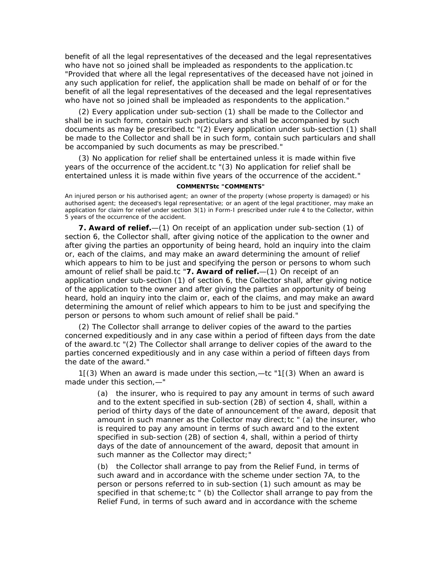benefit of all the legal representatives of the deceased and the legal representatives who have not so joined shall be impleaded as respondents to the application.tc "Provided that where all the legal representatives of the deceased have not joined in any such application for relief, the application shall be made on behalf of or for the benefit of all the legal representatives of the deceased and the legal representatives who have not so joined shall be impleaded as respondents to the application."

(2) Every application under sub-section (1) shall be made to the Collector and shall be in such form, contain such particulars and shall be accompanied by such documents as may be prescribed.tc "(2) Every application under sub-section (1) shall be made to the Collector and shall be in such form, contain such particulars and shall be accompanied by such documents as may be prescribed."

(3) No application for relief shall be entertained unless it is made within five years of the occurrence of the accident.tc "(3) No application for relief shall be entertained unless it is made within five years of the occurrence of the accident."

## **COMMENTStc "COMMENTS"**

An injured person or his authorised agent; an owner of the property (whose property is damaged) or his authorised agent; the deceased's legal representative; or an agent of the legal practitioner, may make an application for claim for relief under section 3(1) in Form-I prescribed under rule 4 to the Collector, within 5 years of the occurrence of the accident.

**7. Award of relief.**—(1) On receipt of an application under sub-section (1) of section 6, the Collector shall, after giving notice of the application to the owner and after giving the parties an opportunity of being heard, hold an inquiry into the claim or, each of the claims, and may make an award determining the amount of relief which appears to him to be just and specifying the person or persons to whom such amount of relief shall be paid.tc "**7. Award of relief.**—(1) On receipt of an application under sub-section (1) of section 6, the Collector shall, after giving notice of the application to the owner and after giving the parties an opportunity of being heard, hold an inquiry into the claim or, each of the claims, and may make an award determining the amount of relief which appears to him to be just and specifying the person or persons to whom such amount of relief shall be paid."

(2) The Collector shall arrange to deliver copies of the award to the parties concerned expeditiously and in any case within a period of fifteen days from the date of the award.tc "(2) The Collector shall arrange to deliver copies of the award to the parties concerned expeditiously and in any case within a period of fifteen days from the date of the award."

1[(3) When an award is made under this section,—tc "1[(3) When an award is made under this section,—"

> (a) the insurer, who is required to pay any amount in terms of such award and to the extent specified in sub-section (2B) of section 4, shall, within a period of thirty days of the date of announcement of the award, deposit that amount in such manner as the Collector may direct; tc " (a) the insurer, who is required to pay any amount in terms of such award and to the extent specified in sub-section (2B) of section 4, shall, within a period of thirty days of the date of announcement of the award, deposit that amount in such manner as the Collector may direct;"

(b) the Collector shall arrange to pay from the Relief Fund, in terms of such award and in accordance with the scheme under section 7A, to the person or persons referred to in sub-section (1) such amount as may be specified in that scheme;tc " (b) the Collector shall arrange to pay from the Relief Fund, in terms of such award and in accordance with the scheme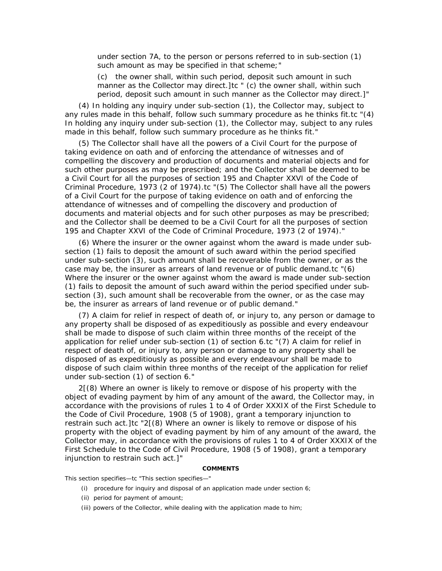under section 7A, to the person or persons referred to in sub-section (1) such amount as may be specified in that scheme;"

(c) the owner shall, within such period, deposit such amount in such manner as the Collector may direct.]tc " (c) the owner shall, within such period, deposit such amount in such manner as the Collector may direct.]"

(4) In holding any inquiry under sub-section (1), the Collector may, subject to any rules made in this behalf, follow such summary procedure as he thinks fit.tc "(4) In holding any inquiry under sub-section (1), the Collector may, subject to any rules made in this behalf, follow such summary procedure as he thinks fit."

(5) The Collector shall have all the powers of a Civil Court for the purpose of taking evidence on oath and of enforcing the attendance of witnesses and of compelling the discovery and production of documents and material objects and for such other purposes as may be prescribed; and the Collector shall be deemed to be a Civil Court for all the purposes of section 195 and Chapter XXVI of the Code of Criminal Procedure, 1973 (2 of 1974).tc "(5) The Collector shall have all the powers of a Civil Court for the purpose of taking evidence on oath and of enforcing the attendance of witnesses and of compelling the discovery and production of documents and material objects and for such other purposes as may be prescribed; and the Collector shall be deemed to be a Civil Court for all the purposes of section 195 and Chapter XXVI of the Code of Criminal Procedure, 1973 (2 of 1974)."

(6) Where the insurer or the owner against whom the award is made under subsection (1) fails to deposit the amount of such award within the period specified under sub-section (3), such amount shall be recoverable from the owner, or as the case may be, the insurer as arrears of land revenue or of public demand.tc "(6) Where the insurer or the owner against whom the award is made under sub-section (1) fails to deposit the amount of such award within the period specified under subsection (3), such amount shall be recoverable from the owner, or as the case may be, the insurer as arrears of land revenue or of public demand."

(7) A claim for relief in respect of death of, or injury to, any person or damage to any property shall be disposed of as expeditiously as possible and every endeavour shall be made to dispose of such claim within three months of the receipt of the application for relief under sub-section (1) of section 6.tc "(7) A claim for relief in respect of death of, or injury to, any person or damage to any property shall be disposed of as expeditiously as possible and every endeavour shall be made to dispose of such claim within three months of the receipt of the application for relief under sub-section (1) of section 6."

2[(8) Where an owner is likely to remove or dispose of his property with the object of evading payment by him of any amount of the award, the Collector may, in accordance with the provisions of rules 1 to 4 of Order XXXIX of the First Schedule to the Code of Civil Procedure, 1908 (5 of 1908), grant a temporary injunction to restrain such act.]tc "2[(8) Where an owner is likely to remove or dispose of his property with the object of evading payment by him of any amount of the award, the Collector may, in accordance with the provisions of rules 1 to 4 of Order XXXIX of the First Schedule to the Code of Civil Procedure, 1908 (5 of 1908), grant a temporary injunction to restrain such act.]"

#### **COMMENTS**

This section specifies—tc "This section specifies—"

- (i) procedure for inquiry and disposal of an application made under section 6;
- (ii) period for payment of amount;
- (iii) powers of the Collector, while dealing with the application made to him;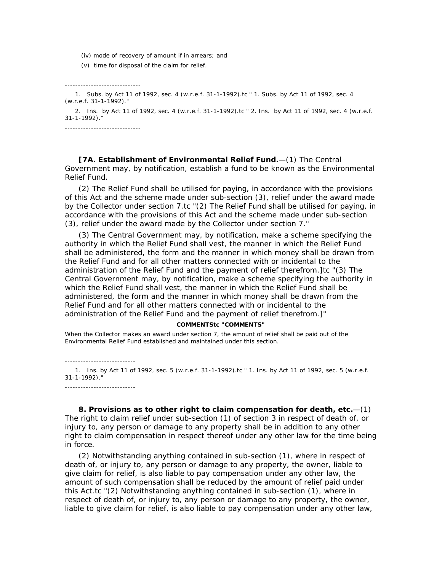- (iv) mode of recovery of amount if in arrears; and
- (v) time for disposal of the claim for relief.

-----------------------------

 1. Subs. by Act 11 of 1992, sec. 4 (w.r.e.f. 31-1-1992).tc " 1. Subs. by Act 11 of 1992, sec. 4 (w.r.e.f. 31-1-1992)."

 2. Ins. by Act 11 of 1992, sec. 4 (w.r.e.f. 31-1-1992).tc " 2. Ins. by Act 11 of 1992, sec. 4 (w.r.e.f. 31-1-1992)."

-----------------------------

**[7A. Establishment of Environmental Relief Fund.**—(1) The Central Government may, by notification, establish a fund to be known as the Environmental Relief Fund.

(2) The Relief Fund shall be utilised for paying, in accordance with the provisions of this Act and the scheme made under sub-section (3), relief under the award made by the Collector under section 7.tc "(2) The Relief Fund shall be utilised for paying, in accordance with the provisions of this Act and the scheme made under sub-section (3), relief under the award made by the Collector under section 7."

(3) The Central Government may, by notification, make a scheme specifying the authority in which the Relief Fund shall vest, the manner in which the Relief Fund shall be administered, the form and the manner in which money shall be drawn from the Relief Fund and for all other matters connected with or incidental to the administration of the Relief Fund and the payment of relief therefrom.]tc "(3) The Central Government may, by notification, make a scheme specifying the authority in which the Relief Fund shall vest, the manner in which the Relief Fund shall be administered, the form and the manner in which money shall be drawn from the Relief Fund and for all other matters connected with or incidental to the administration of the Relief Fund and the payment of relief therefrom.]"

### **COMMENTStc "COMMENTS"**

When the Collector makes an award under section 7, the amount of relief shall be paid out of the Environmental Relief Fund established and maintained under this section.

---------------------------

---------------------------

 1. Ins. by Act 11 of 1992, sec. 5 (w.r.e.f. 31-1-1992).tc " 1. Ins. by Act 11 of 1992, sec. 5 (w.r.e.f. 31-1-1992)."

**8. Provisions as to other right to claim compensation for death, etc***.*—(1) The right to claim relief under sub-section (1) of section 3 in respect of death of, or injury to, any person or damage to any property shall be in addition to any other right to claim compensation in respect thereof under any other law for the time being in force.

(2) Notwithstanding anything contained in sub-section (1), where in respect of death of, or injury to, any person or damage to any property, the owner, liable to give claim for relief, is also liable to pay compensation under any other law, the amount of such compensation shall be reduced by the amount of relief paid under this Act.tc "(2) Notwithstanding anything contained in sub-section (1), where in respect of death of, or injury to, any person or damage to any property, the owner, liable to give claim for relief, is also liable to pay compensation under any other law,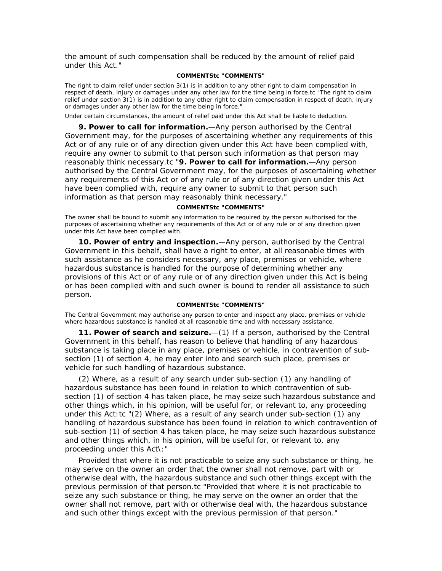the amount of such compensation shall be reduced by the amount of relief paid under this Act."

## **COMMENTStc "COMMENTS"**

The right to claim relief under section 3(1) is in addition to any other right to claim compensation in respect of death, injury or damages under any other law for the time being in force.tc "The right to claim relief under section 3(1) is in addition to any other right to claim compensation in respect of death, injury or damages under any other law for the time being in force."

Under certain circumstances, the amount of relief paid under this Act shall be liable to deduction.

**9. Power to call for information.**—Any person authorised by the Central Government may, for the purposes of ascertaining whether any requirements of this Act or of any rule or of any direction given under this Act have been complied with, require any owner to submit to that person such information as that person may reasonably think necessary.tc "**9. Power to call for information.**—Any person authorised by the Central Government may, for the purposes of ascertaining whether any requirements of this Act or of any rule or of any direction given under this Act have been complied with, require any owner to submit to that person such information as that person may reasonably think necessary."

#### **COMMENTStc "COMMENTS"**

The owner shall be bound to submit any information to be required by the person authorised for the purposes of ascertaining whether any requirements of this Act or of any rule or of any direction given under this Act have been complied with.

**10. Power of entry and inspection.**—Any person, authorised by the Central Government in this behalf, shall have a right to enter, at all reasonable times with such assistance as he considers necessary, any place, premises or vehicle, where hazardous substance is handled for the purpose of determining whether any provisions of this Act or of any rule or of any direction given under this Act is being or has been complied with and such owner is bound to render all assistance to such person.

## **COMMENTStc "COMMENTS"**

The Central Government may authorise any person to enter and inspect any place, premises or vehicle where hazardous substance is handled at all reasonable time and with necessary assistance.

**11. Power of search and seizure.**—(1) If a person, authorised by the Central Government in this behalf, has reason to believe that handling of any hazardous substance is taking place in any place, premises or vehicle, in contravention of subsection (1) of section 4, he may enter into and search such place, premises or vehicle for such handling of hazardous substance.

(2) Where, as a result of any search under sub-section (1) any handling of hazardous substance has been found in relation to which contravention of subsection (1) of section 4 has taken place, he may seize such hazardous substance and other things which, in his opinion, will be useful for, or relevant to, any proceeding under this Act:tc "(2) Where, as a result of any search under sub-section (1) any handling of hazardous substance has been found in relation to which contravention of sub-section (1) of section 4 has taken place, he may seize such hazardous substance and other things which, in his opinion, will be useful for, or relevant to, any proceeding under this Act\:"

Provided that where it is not practicable to seize any such substance or thing, he may serve on the owner an order that the owner shall not remove, part with or otherwise deal with, the hazardous substance and such other things except with the previous permission of that person.tc "Provided that where it is not practicable to seize any such substance or thing, he may serve on the owner an order that the owner shall not remove, part with or otherwise deal with, the hazardous substance and such other things except with the previous permission of that person."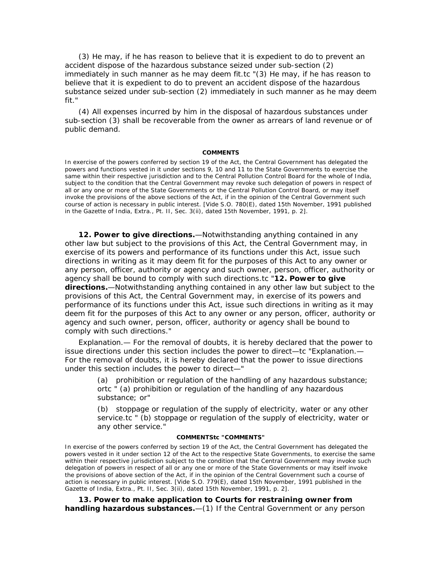(3) He may, if he has reason to believe that it is expedient to do to prevent an accident dispose of the hazardous substance seized under sub-section (2) immediately in such manner as he may deem fit.tc "(3) He may, if he has reason to believe that it is expedient to do to prevent an accident dispose of the hazardous substance seized under sub-section (2) immediately in such manner as he may deem fit."

(4) All expenses incurred by him in the disposal of hazardous substances under sub-section (3) shall be recoverable from the owner as arrears of land revenue or of public demand.

#### **COMMENTS**

In exercise of the powers conferred by section 19 of the Act, the Central Government has delegated the powers and functions vested in it under sections 9, 10 and 11 to the State Governments to exercise the same within their respective jurisdiction and to the Central Pollution Control Board for the whole of India, subject to the condition that the Central Government may revoke such delegation of powers in respect of all or any one or more of the State Governments or the Central Pollution Control Board, or may itself invoke the provisions of the above sections of the Act, if in the opinion of the Central Government such course of action is necessary in public interest. [*Vide* S.O. 780(E), dated 15th November, 1991 published in the Gazette of India, Extra., Pt. II, Sec. 3(ii), dated 15th November, 1991, p. 2].

**12. Power to give directions.**—Notwithstanding anything contained in any other law but subject to the provisions of this Act, the Central Government may, in exercise of its powers and performance of its functions under this Act, issue such directions in writing as it may deem fit for the purposes of this Act to any owner or any person, officer, authority or agency and such owner, person, officer, authority or agency shall be bound to comply with such directions.tc "**12. Power to give directions.**—Notwithstanding anything contained in any other law but subject to the provisions of this Act, the Central Government may, in exercise of its powers and performance of its functions under this Act, issue such directions in writing as it may deem fit for the purposes of this Act to any owner or any person, officer, authority or agency and such owner, person, officer, authority or agency shall be bound to comply with such directions."

*Explanation.—* For the removal of doubts, it is hereby declared that the power to issue directions under this section includes the power to direct—tc "*Explanation.—* For the removal of doubts, it is hereby declared that the power to issue directions under this section includes the power to direct—"

> (a) prohibition or regulation of the handling of any hazardous substance; ortc " (a) prohibition or regulation of the handling of any hazardous substance; or"

> (b) stoppage or regulation of the supply of electricity, water or any other service.tc " (b) stoppage or regulation of the supply of electricity, water or any other service."

## **COMMENTStc "COMMENTS"**

In exercise of the powers conferred by section 19 of the Act, the Central Government has delegated the powers vested in it under section 12 of the Act to the respective State Governments, to exercise the same within their respective jurisdiction subject to the condition that the Central Government may invoke such delegation of powers in respect of all or any one or more of the State Governments or may itself invoke the provisions of above section of the Act, if in the opinion of the Central Government such a course of action is necessary in public interest. [*Vide* S.O. 779(E), dated 15th November, 1991 published in the Gazette of India, Extra., Pt. II, Sec. 3(ii), dated 15th November, 1991, p. 2].

**13. Power to make application to Courts for restraining owner from handling hazardous substances.**—(1) If the Central Government or any person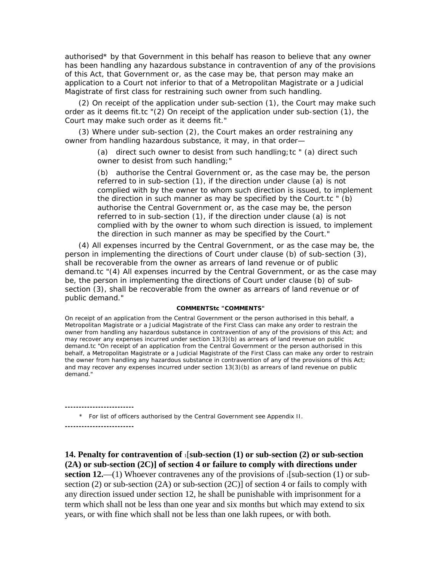authorised\* by that Government in this behalf has reason to believe that any owner has been handling any hazardous substance in contravention of any of the provisions of this Act, that Government or, as the case may be, that person may make an application to a Court not inferior to that of a Metropolitan Magistrate or a Judicial Magistrate of first class for restraining such owner from such handling.

(2) On receipt of the application under sub-section (1), the Court may make such order as it deems fit.tc "(2) On receipt of the application under sub-section (1), the Court may make such order as it deems fit."

(3) Where under sub-section (2), the Court makes an order restraining any owner from handling hazardous substance, it may, in that order—

> (a) direct such owner to desist from such handling;tc " (a) direct such owner to desist from such handling;"

(b) authorise the Central Government or, as the case may be, the person referred to in sub-section (1), if the direction under clause (a) is not complied with by the owner to whom such direction is issued, to implement the direction in such manner as may be specified by the Court.tc " (b) authorise the Central Government or, as the case may be, the person referred to in sub-section (1), if the direction under clause (a) is not complied with by the owner to whom such direction is issued, to implement the direction in such manner as may be specified by the Court."

(4) All expenses incurred by the Central Government, or as the case may be, the person in implementing the directions of Court under clause (b) of sub-section (3), shall be recoverable from the owner as arrears of land revenue or of public demand.tc "(4) All expenses incurred by the Central Government, or as the case may be, the person in implementing the directions of Court under clause (b) of subsection (3), shall be recoverable from the owner as arrears of land revenue or of public demand."

#### **COMMENTStc "COMMENTS"**

On receipt of an application from the Central Government or the person authorised in this behalf, a Metropolitan Magistrate or a Judicial Magistrate of the First Class can make any order to restrain the owner from handling any hazardous substance in contravention of any of the provisions of this Act; and may recover any expenses incurred under section 13(3)(b) as arrears of land revenue on public demand.tc "On receipt of an application from the Central Government or the person authorised in this behalf, a Metropolitan Magistrate or a Judicial Magistrate of the First Class can make any order to restrain the owner from handling any hazardous substance in contravention of any of the provisions of this Act; and may recover any expenses incurred under section 13(3)(b) as arrears of land revenue on public demand."

\* For list of officers authorised by the Central Government *see* Appendix II.

**-------------------------**

**-------------------------**

## **14. Penalty for contravention of** 1[**sub-section (1) or sub-section (2) or sub-section (2A) or sub-section (2C)] of section 4 or failure to comply with directions under**

**section 12.**—(1) Whoever contravenes any of the provisions of  $\iota$ [sub-section (1) or subsection (2) or sub-section (2A) or sub-section (2C)] of section 4 or fails to comply with any direction issued under section 12, he shall be punishable with imprisonment for a term which shall not be less than one year and six months but which may extend to six years, or with fine which shall not be less than one lakh rupees, or with both.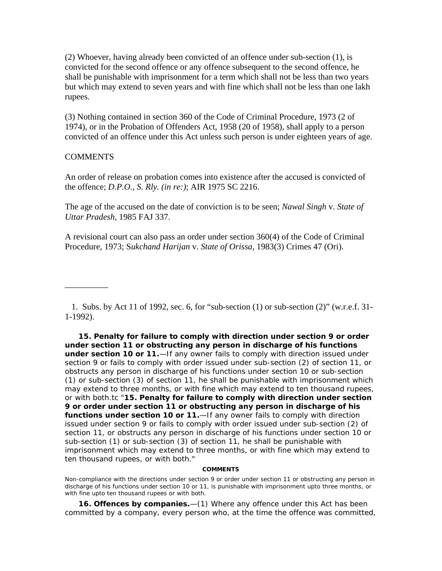(2) Whoever, having already been convicted of an offence under sub-section (1), is convicted for the second offence or any offence subsequent to the second offence, he shall be punishable with imprisonment for a term which shall not be less than two years but which may extend to seven years and with fine which shall not be less than one lakh rupees.

(3) Nothing contained in section 360 of the Code of Criminal Procedure, 1973 (2 of 1974), or in the Probation of Offenders Act, 1958 (20 of 1958), shall apply to a person convicted of an offence under this Act unless such person is under eighteen years of age.

## **COMMENTS**

—————

An order of release on probation comes into existence after the accused is convicted of the offence; *D.P.O., S. Rly. (in re:)*; AIR 1975 SC 2216.

The age of the accused on the date of conviction is to be seen; *Nawal Singh* v. *State of Uttar Pradesh*, 1985 FAJ 337.

A revisional court can also pass an order under section 360(4) of the Code of Criminal Procedure, 1973; S*ukchand Harijan* v. *State of Orissa*, 1983(3) Crimes 47 (Ori).

 1. Subs. by Act 11 of 1992, sec. 6, for "sub-section (1) or sub-section (2)" (w.r.e.f. 31- 1-1992).

**15. Penalty for failure to comply with direction under section 9 or order under section 11 or obstructing any person in discharge of his functions under section 10 or 11.**—If any owner fails to comply with direction issued under section 9 or fails to comply with order issued under sub-section (2) of section 11, or obstructs any person in discharge of his functions under section 10 or sub-section (1) or sub-section (3) of section 11, he shall be punishable with imprisonment which may extend to three months, or with fine which may extend to ten thousand rupees, or with both.tc "**15. Penalty for failure to comply with direction under section 9 or order under section 11 or obstructing any person in discharge of his functions under section 10 or 11.**—If any owner fails to comply with direction issued under section 9 or fails to comply with order issued under sub-section (2) of section 11, or obstructs any person in discharge of his functions under section 10 or sub-section (1) or sub-section (3) of section 11, he shall be punishable with imprisonment which may extend to three months, or with fine which may extend to ten thousand rupees, or with both."

### **COMMENTS**

Non-compliance with the directions under section 9 or order under section 11 or obstructing any person in discharge of his functions under section 10 or 11, is punishable with imprisonment upto three months, or with fine upto ten thousand rupees or with both.

**16. Offences by companies.**—(1) Where any offence under this Act has been committed by a company, every person who, at the time the offence was committed,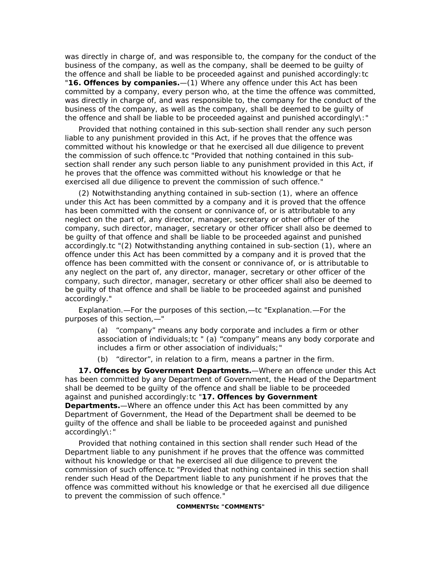was directly in charge of, and was responsible to, the company for the conduct of the business of the company, as well as the company, shall be deemed to be guilty of the offence and shall be liable to be proceeded against and punished accordingly:tc "**16. Offences by companies.**—(1) Where any offence under this Act has been committed by a company, every person who, at the time the offence was committed, was directly in charge of, and was responsible to, the company for the conduct of the business of the company, as well as the company, shall be deemed to be guilty of the offence and shall be liable to be proceeded against and punished accordingly\:"

Provided that nothing contained in this sub-section shall render any such person liable to any punishment provided in this Act, if he proves that the offence was committed without his knowledge or that he exercised all due diligence to prevent the commission of such offence.tc "Provided that nothing contained in this subsection shall render any such person liable to any punishment provided in this Act, if he proves that the offence was committed without his knowledge or that he exercised all due diligence to prevent the commission of such offence."

(2) Notwithstanding anything contained in sub-section (1), where an offence under this Act has been committed by a company and it is proved that the offence has been committed with the consent or connivance of, or is attributable to any neglect on the part of, any director, manager, secretary or other officer of the company, such director, manager, secretary or other officer shall also be deemed to be guilty of that offence and shall be liable to be proceeded against and punished accordingly.tc "(2) Notwithstanding anything contained in sub-section (1), where an offence under this Act has been committed by a company and it is proved that the offence has been committed with the consent or connivance of, or is attributable to any neglect on the part of, any director, manager, secretary or other officer of the company, such director, manager, secretary or other officer shall also be deemed to be guilty of that offence and shall be liable to be proceeded against and punished accordingly."

*Explanation.—*For the purposes of this section,—tc "*Explanation.—*For the purposes of this section,—"

> (a) "company" means any body corporate and includes a firm or other association of individuals;tc " (a) "company" means any body corporate and includes a firm or other association of individuals;"

(b) "director", in relation to a firm, means a partner in the firm.

**17. Offences by Government Departments.**—Where an offence under this Act has been committed by any Department of Government, the Head of the Department shall be deemed to be guilty of the offence and shall be liable to be proceeded against and punished accordingly:tc "**17. Offences by Government Departments.**—Where an offence under this Act has been committed by any Department of Government, the Head of the Department shall be deemed to be guilty of the offence and shall be liable to be proceeded against and punished accordingly\:"

Provided that nothing contained in this section shall render such Head of the Department liable to any punishment if he proves that the offence was committed without his knowledge or that he exercised all due diligence to prevent the commission of such offence.tc "Provided that nothing contained in this section shall render such Head of the Department liable to any punishment if he proves that the offence was committed without his knowledge or that he exercised all due diligence to prevent the commission of such offence."

**COMMENTStc "COMMENTS"**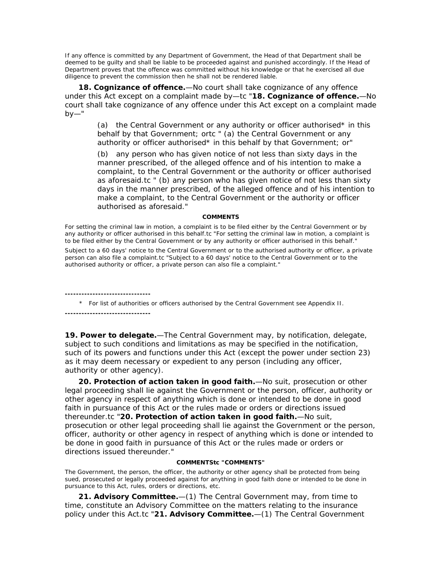If any offence is committed by any Department of Government, the Head of that Department shall be deemed to be guilty and shall be liable to be proceeded against and punished accordingly. If the Head of Department proves that the offence was committed without his knowledge or that he exercised all due diligence to prevent the commission then he shall not be rendered liable.

**18. Cognizance of offence.**—No court shall take cognizance of any offence under this Act except on a complaint made by—tc "**18. Cognizance of offence.**—No court shall take cognizance of any offence under this Act except on a complaint made  $by$ —"

> (a) the Central Government or any authority or officer authorised<sup>\*</sup> in this behalf by that Government; ortc " (a) the Central Government or any authority or officer authorised\* in this behalf by that Government; or"

(b) any person who has given notice of not less than sixty days in the manner prescribed, of the alleged offence and of his intention to make a complaint, to the Central Government or the authority or officer authorised as aforesaid.tc " (b) any person who has given notice of not less than sixty days in the manner prescribed, of the alleged offence and of his intention to make a complaint, to the Central Government or the authority or officer authorised as aforesaid."

#### **COMMENTS**

For setting the criminal law in motion, a complaint is to be filed either by the Central Government or by any authority or officer authorised in this behalf.tc "For setting the criminal law in motion, a complaint is to be filed either by the Central Government or by any authority or officer authorised in this behalf."

Subject to a 60 days' notice to the Central Government or to the authorised authority or officer, a private person can also file a complaint.tc "Subject to a 60 days' notice to the Central Government or to the authorised authority or officer, a private person can also file a complaint."

**-------------------------------**

 \* For list of authorities or officers authorised by the Central Government *see* Appendix II. **-------------------------------**

**19. Power to delegate.**—The Central Government may, by notification, delegate, subject to such conditions and limitations as may be specified in the notification, such of its powers and functions under this Act (except the power under section 23) as it may deem necessary or expedient to any person (including any officer, authority or other agency).

**20. Protection of action taken in good faith.**—No suit, prosecution or other legal proceeding shall lie against the Government or the person, officer, authority or other agency in respect of anything which is done or intended to be done in good faith in pursuance of this Act or the rules made or orders or directions issued thereunder.tc "**20. Protection of action taken in good faith.**—No suit, prosecution or other legal proceeding shall lie against the Government or the person, officer, authority or other agency in respect of anything which is done or intended to be done in good faith in pursuance of this Act or the rules made or orders or directions issued thereunder."

#### **COMMENTStc "COMMENTS"**

The Government, the person, the officer, the authority or other agency shall be protected from being sued, prosecuted or legally proceeded against for anything in good faith done or intended to be done in pursuance to this Act, rules, orders or directions, etc.

**21. Advisory Committee.**—(1) The Central Government may, from time to time, constitute an Advisory Committee on the matters relating to the insurance policy under this Act.tc "**21. Advisory Committee.**—(1) The Central Government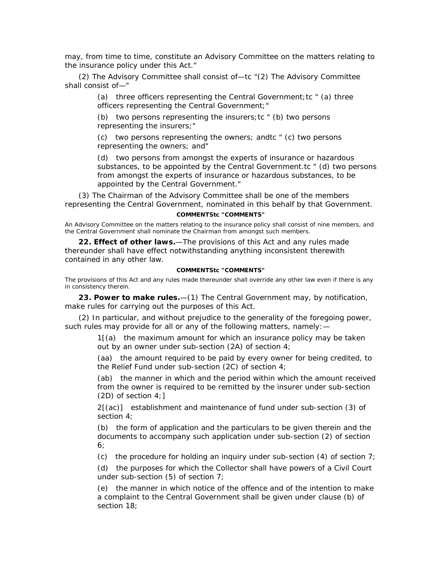may, from time to time, constitute an Advisory Committee on the matters relating to the insurance policy under this Act."

(2) The Advisory Committee shall consist of—tc "(2) The Advisory Committee shall consist of—"

> (a) three officers representing the Central Government; tc  $"$  (a) three officers representing the Central Government;"

(b) two persons representing the insurers;tc " (b) two persons representing the insurers;"

(c) two persons representing the owners; andtc " (c) two persons representing the owners; and"

(d) two persons from amongst the experts of insurance or hazardous substances, to be appointed by the Central Government.tc " (d) two persons from amongst the experts of insurance or hazardous substances, to be appointed by the Central Government."

(3) The Chairman of the Advisory Committee shall be one of the members representing the Central Government, nominated in this behalf by that Government.

#### **COMMENTStc "COMMENTS"**

An Advisory Committee on the matters relating to the insurance policy shall consist of nine members, and the Central Government shall nominate the Chairman from amongst such members.

**22. Effect of other laws.**—The provisions of this Act and any rules made thereunder shall have effect notwithstanding anything inconsistent therewith contained in any other law.

#### **COMMENTStc "COMMENTS"**

The provisions of this Act and any rules made thereunder shall override any other law even if there is any in consistency therein.

**23. Power to make rules.**—(1) The Central Government may, by notification, make rules for carrying out the purposes of this Act.

(2) In particular, and without prejudice to the generality of the foregoing power, such rules may provide for all or any of the following matters, namely: -

> 1[(a) the maximum amount for which an insurance policy may be taken out by an owner under sub-section (2A) of section 4;

(aa) the amount required to be paid by every owner for being credited, to the Relief Fund under sub-section (2C) of section 4;

(ab) the manner in which and the period within which the amount received from the owner is required to be remitted by the insurer under sub-section (2D) of section 4;]

2[(ac)] establishment and maintenance of fund under sub-section (3) of section 4;

(b) the form of application and the particulars to be given therein and the documents to accompany such application under sub-section (2) of section 6;

(c) the procedure for holding an inquiry under sub-section  $(4)$  of section 7;

(d) the purposes for which the Collector shall have powers of a Civil Court under sub-section (5) of section 7;

(e) the manner in which notice of the offence and of the intention to make a complaint to the Central Government shall be given under clause (b) of section 18;